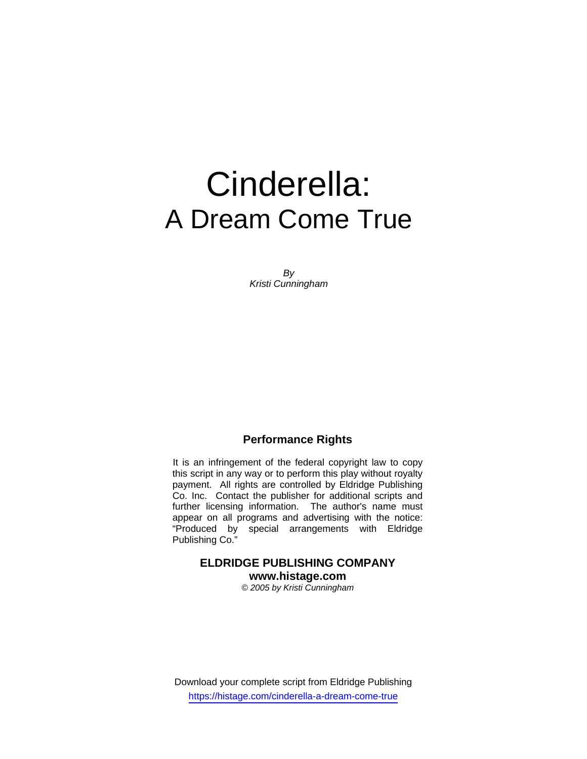# Cinderella: A Dream Come True

*By Kristi Cunningham* 

## **Performance Rights**

It is an infringement of the federal copyright law to copy this script in any way or to perform this play without royalty payment. All rights are controlled by Eldridge Publishing Co. Inc. Contact the publisher for additional scripts and further licensing information. The author's name must appear on all programs and advertising with the notice: "Produced by special arrangements with Eldridge Publishing Co."

# **ELDRIDGE PUBLISHING COMPANY www.histage.com**

*© 2005 by Kristi Cunningham* 

Download your complete script from Eldridge Publishing https://histage.com/cinderella-a-dream-come-true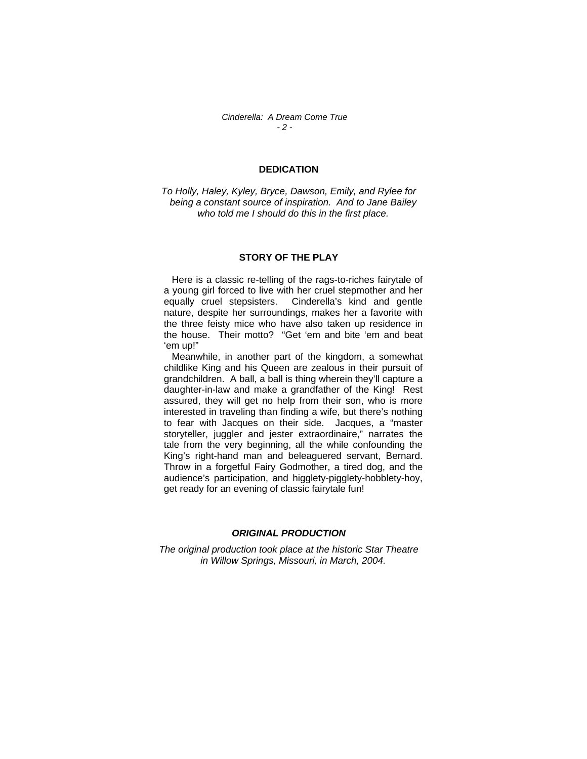## **DEDICATION**

*To Holly, Haley, Kyley, Bryce, Dawson, Emily, and Rylee for being a constant source of inspiration. And to Jane Bailey who told me I should do this in the first place.* 

## **STORY OF THE PLAY**

 Here is a classic re-telling of the rags-to-riches fairytale of a young girl forced to live with her cruel stepmother and her equally cruel stepsisters. Cinderella's kind and gentle nature, despite her surroundings, makes her a favorite with the three feisty mice who have also taken up residence in the house. Their motto? "Get 'em and bite 'em and beat 'em up!"

 Meanwhile, in another part of the kingdom, a somewhat childlike King and his Queen are zealous in their pursuit of grandchildren. A ball, a ball is thing wherein they'll capture a daughter-in-law and make a grandfather of the King! Rest assured, they will get no help from their son, who is more interested in traveling than finding a wife, but there's nothing to fear with Jacques on their side. Jacques, a "master storyteller, juggler and jester extraordinaire," narrates the tale from the very beginning, all the while confounding the King's right-hand man and beleaguered servant, Bernard. Throw in a forgetful Fairy Godmother, a tired dog, and the audience's participation, and higglety-pigglety-hobblety-hoy, get ready for an evening of classic fairytale fun!

## *ORIGINAL PRODUCTION*

*The original production took place at the historic Star Theatre in Willow Springs, Missouri, in March, 2004.*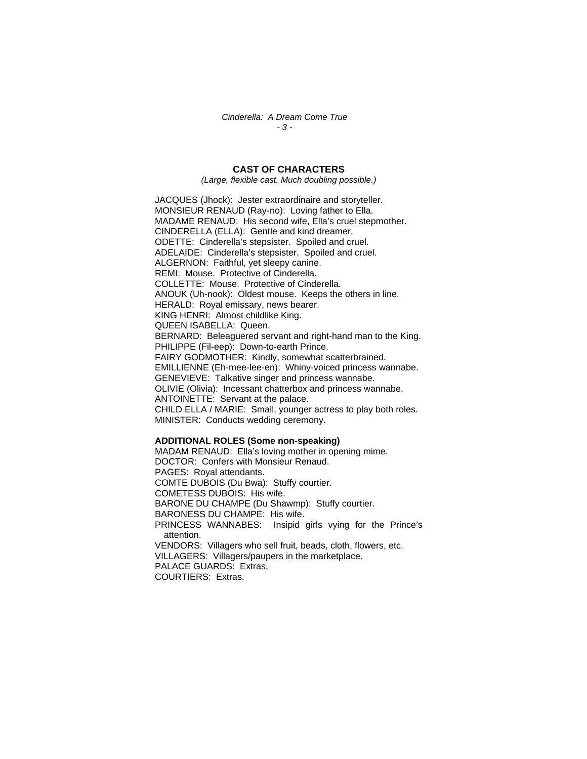*Cinderella: A Dream Come True - 3 -* 

## **CAST OF CHARACTERS**

*(Large, flexible cast. Much doubling possible.)* 

JACQUES (Jhock): Jester extraordinaire and storyteller. MONSIEUR RENAUD (Ray-no): Loving father to Ella. MADAME RENAUD: His second wife, Ella's cruel stepmother. CINDERELLA (ELLA): Gentle and kind dreamer. ODETTE: Cinderella's stepsister. Spoiled and cruel. ADELAIDE: Cinderella's stepsister. Spoiled and cruel. ALGERNON: Faithful, yet sleepy canine. REMI: Mouse. Protective of Cinderella. COLLETTE: Mouse. Protective of Cinderella. ANOUK (Uh-nook): Oldest mouse. Keeps the others in line. HERALD: Royal emissary, news bearer. KING HENRI: Almost childlike King. QUEEN ISABELLA: Queen. BERNARD: Beleaguered servant and right-hand man to the King. PHILIPPE (Fil-eep): Down-to-earth Prince. FAIRY GODMOTHER: Kindly, somewhat scatterbrained. EMILLIENNE (Eh-mee-lee-en): Whiny-voiced princess wannabe. GENEVIEVE: Talkative singer and princess wannabe. OLIVIE (Olivia): Incessant chatterbox and princess wannabe. ANTOINETTE: Servant at the palace. CHILD ELLA / MARIE: Small, younger actress to play both roles. MINISTER: Conducts wedding ceremony.

#### **ADDITIONAL ROLES (Some non-speaking)**

MADAM RENAUD: Ella's loving mother in opening mime. DOCTOR: Confers with Monsieur Renaud. PAGES: Royal attendants. COMTE DUBOIS (Du Bwa): Stuffy courtier. COMETESS DUBOIS: His wife. BARONE DU CHAMPE (Du Shawmp): Stuffy courtier. BARONESS DU CHAMPE: His wife. PRINCESS WANNABES: Insipid girls vying for the Prince's attention. VENDORS: Villagers who sell fruit, beads, cloth, flowers, etc. VILLAGERS: Villagers/paupers in the marketplace. PALACE GUARDS: Extras. COURTIERS: Extras.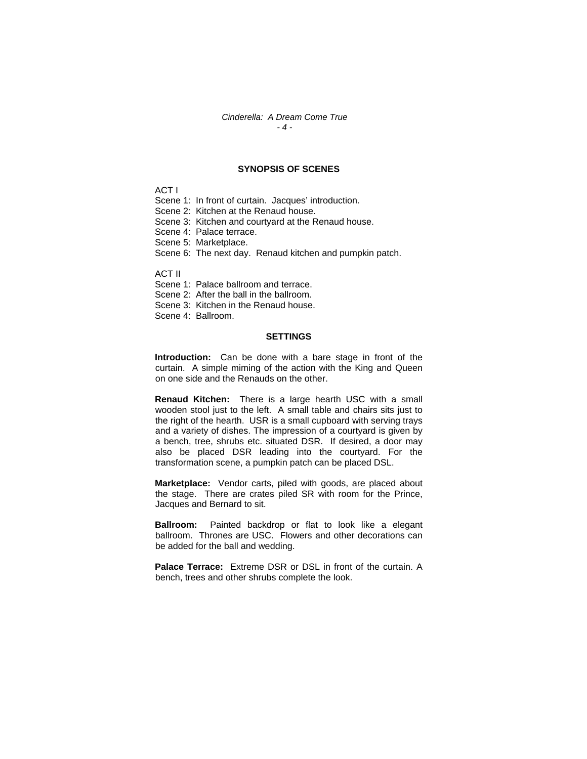#### *Cinderella: A Dream Come True - 4 -*

#### **SYNOPSIS OF SCENES**

ACT I

- Scene 1: In front of curtain. Jacques' introduction.
- Scene 2: Kitchen at the Renaud house.
- Scene 3: Kitchen and courtyard at the Renaud house.
- Scene 4: Palace terrace.
- Scene 5: Marketplace.
- Scene 6: The next day. Renaud kitchen and pumpkin patch.

ACT II

- Scene 1: Palace ballroom and terrace.
- Scene 2: After the ball in the ballroom.
- Scene 3: Kitchen in the Renaud house.
- Scene 4: Ballroom.

#### **SETTINGS**

**Introduction:** Can be done with a bare stage in front of the curtain. A simple miming of the action with the King and Queen on one side and the Renauds on the other.

**Renaud Kitchen:** There is a large hearth USC with a small wooden stool just to the left. A small table and chairs sits just to the right of the hearth. USR is a small cupboard with serving trays and a variety of dishes. The impression of a courtyard is given by a bench, tree, shrubs etc. situated DSR. If desired, a door may also be placed DSR leading into the courtyard. For the transformation scene, a pumpkin patch can be placed DSL.

**Marketplace:** Vendor carts, piled with goods, are placed about the stage. There are crates piled SR with room for the Prince, Jacques and Bernard to sit.

**Ballroom:** Painted backdrop or flat to look like a elegant ballroom. Thrones are USC. Flowers and other decorations can be added for the ball and wedding.

**Palace Terrace:** Extreme DSR or DSL in front of the curtain. A bench, trees and other shrubs complete the look.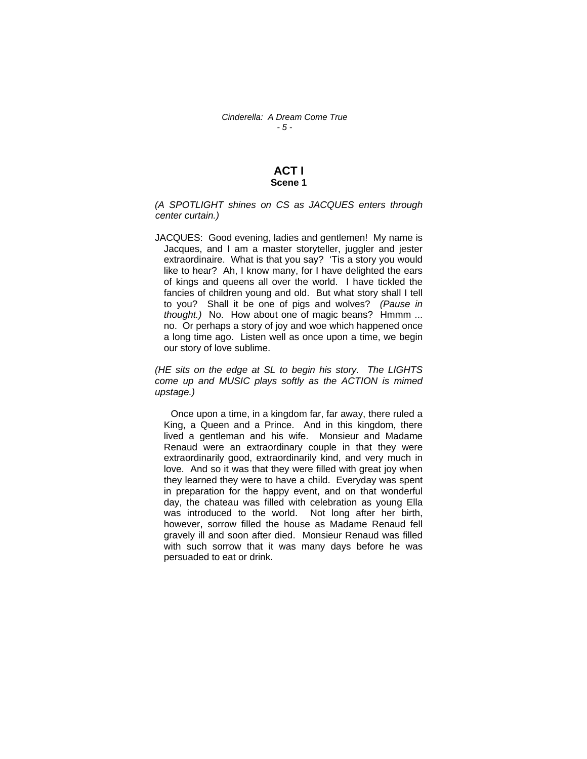## **ACT I Scene 1**

*(A SPOTLIGHT shines on CS as JACQUES enters through center curtain.)* 

JACQUES: Good evening, ladies and gentlemen! My name is Jacques, and I am a master storyteller, juggler and jester extraordinaire. What is that you say? 'Tis a story you would like to hear? Ah, I know many, for I have delighted the ears of kings and queens all over the world. I have tickled the fancies of children young and old. But what story shall I tell to you? Shall it be one of pigs and wolves? *(Pause in thought.)* No. How about one of magic beans? Hmmm ... no. Or perhaps a story of joy and woe which happened once a long time ago. Listen well as once upon a time, we begin our story of love sublime.

*(HE sits on the edge at SL to begin his story. The LIGHTS come up and MUSIC plays softly as the ACTION is mimed upstage.)* 

 Once upon a time, in a kingdom far, far away, there ruled a King, a Queen and a Prince. And in this kingdom, there lived a gentleman and his wife. Monsieur and Madame Renaud were an extraordinary couple in that they were extraordinarily good, extraordinarily kind, and very much in love. And so it was that they were filled with great joy when they learned they were to have a child. Everyday was spent in preparation for the happy event, and on that wonderful day, the chateau was filled with celebration as young Ella was introduced to the world. Not long after her birth, however, sorrow filled the house as Madame Renaud fell gravely ill and soon after died. Monsieur Renaud was filled with such sorrow that it was many days before he was persuaded to eat or drink.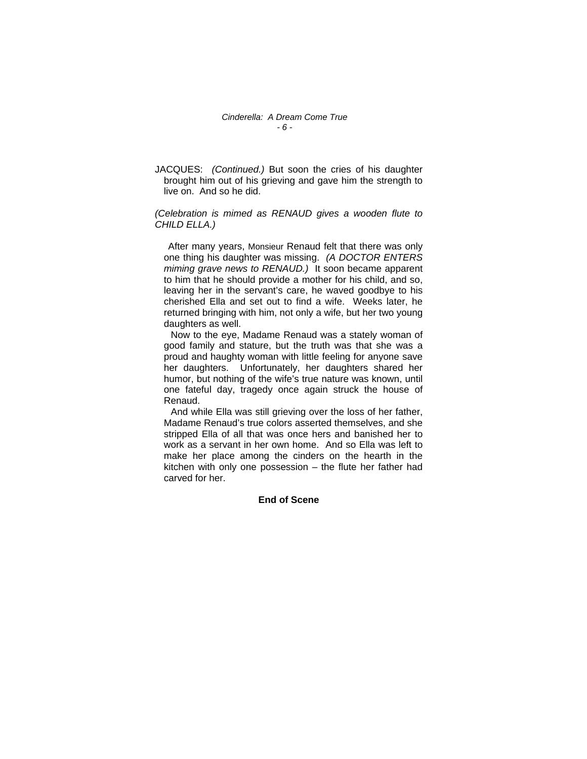JACQUES: *(Continued.)* But soon the cries of his daughter brought him out of his grieving and gave him the strength to live on. And so he did.

## *(Celebration is mimed as RENAUD gives a wooden flute to CHILD ELLA.)*

 After many years, Monsieur Renaud felt that there was only one thing his daughter was missing. *(A DOCTOR ENTERS miming grave news to RENAUD.)* It soon became apparent to him that he should provide a mother for his child, and so, leaving her in the servant's care, he waved goodbye to his cherished Ella and set out to find a wife. Weeks later, he returned bringing with him, not only a wife, but her two young daughters as well.

 Now to the eye, Madame Renaud was a stately woman of good family and stature, but the truth was that she was a proud and haughty woman with little feeling for anyone save her daughters. Unfortunately, her daughters shared her humor, but nothing of the wife's true nature was known, until one fateful day, tragedy once again struck the house of Renaud.

 And while Ella was still grieving over the loss of her father, Madame Renaud's true colors asserted themselves, and she stripped Ella of all that was once hers and banished her to work as a servant in her own home. And so Ella was left to make her place among the cinders on the hearth in the kitchen with only one possession – the flute her father had carved for her.

## **End of Scene**